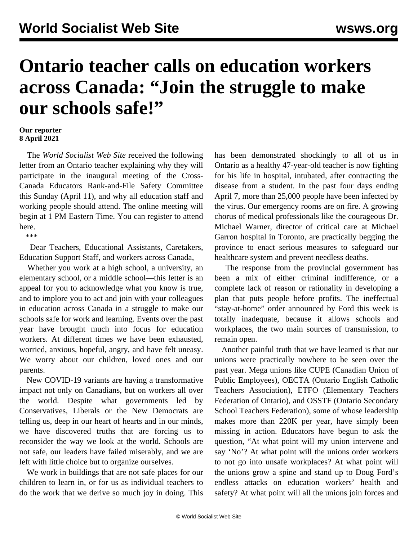## **Ontario teacher calls on education workers across Canada: "Join the struggle to make our schools safe!"**

## **Our reporter 8 April 2021**

 The *World Socialist Web Site* received the following letter from an Ontario teacher explaining why they will participate in the inaugural meeting of the Cross-Canada Educators Rank-and-File Safety Committee this Sunday (April 11), and why all education staff and working people should attend. The online meeting will begin at 1 PM Eastern Time. You can [register](https://register.gotowebinar.com/register/6191680243547304206?fbclid=IwAR3V0Z1njjmmbzSyXUbzFJXqRK7S-uFbupnGAqvBlIWMYURFQ6tgwbxKepU) to attend here.

\*\*\*

 Dear Teachers, Educational Assistants, Caretakers, Education Support Staff, and workers across Canada,

 Whether you work at a high school, a university, an elementary school, or a middle school—this letter is an appeal for you to acknowledge what you know is true, and to implore you to act and join with your colleagues in education across Canada in a struggle to make our schools safe for work and learning. Events over the past year have brought much into focus for education workers. At different times we have been exhausted, worried, anxious, hopeful, angry, and have felt uneasy. We worry about our children, loved ones and our parents.

 New COVID-19 variants are having a transformative impact not only on Canadians, but on workers all over the world. Despite what governments led by Conservatives, Liberals or the New Democrats are telling us, deep in our heart of hearts and in our minds, we have discovered truths that are forcing us to reconsider the way we look at the world. Schools are not safe, our leaders have failed miserably, and we are left with little choice but to organize ourselves.

 We work in buildings that are not safe places for our children to learn in, or for us as individual teachers to do the work that we derive so much joy in doing. This

has been demonstrated shockingly to all of us in Ontario as a healthy 47-year-old teacher is now fighting for his life in hospital, intubated, after contracting the disease from a student. In the past four days ending April 7, more than 25,000 people have been infected by the virus. Our emergency rooms are on fire. A growing chorus of medical professionals like the courageous Dr. Michael Warner, director of critical care at Michael Garron hospital in Toronto, are practically begging the province to enact serious measures to safeguard our healthcare system and prevent needless deaths.

 The response from the provincial government has been a mix of either criminal indifference, or a complete lack of reason or rationality in developing a plan that puts people before profits. The ineffectual "stay-at-home" order announced by Ford this week is totally inadequate, because it allows schools and workplaces, the two main sources of transmission, to remain open.

 Another painful truth that we have learned is that our unions were practically nowhere to be seen over the past year. Mega unions like CUPE (Canadian Union of Public Employees), OECTA (Ontario English Catholic Teachers Association), ETFO (Elementary Teachers Federation of Ontario), and OSSTF (Ontario Secondary School Teachers Federation), some of whose leadership makes more than 220K per year, have simply been missing in action. Educators have begun to ask the question, "At what point will my union intervene and say 'No'? At what point will the unions order workers to not go into unsafe workplaces? At what point will the unions grow a spine and stand up to Doug Ford's endless attacks on education workers' health and safety? At what point will all the unions join forces and